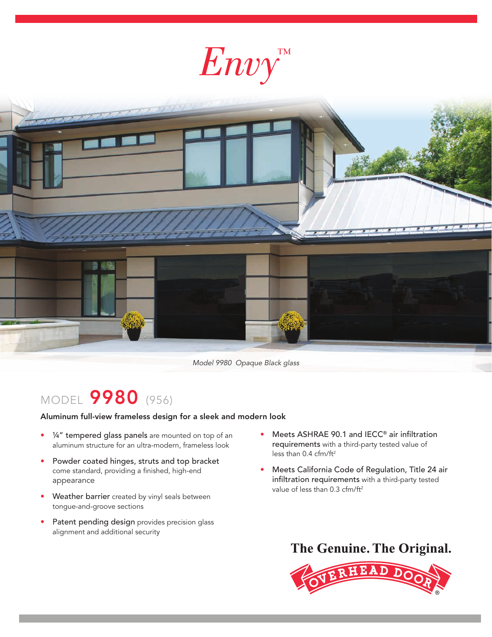



Model 9980 Opaque Black glass

## MODEL 9980 (956)

Aluminum full-view frameless design for a sleek and modern look

- 1/4" tempered glass panels are mounted on top of an aluminum structure for an ultra-modern, frameless look
- Powder coated hinges, struts and top bracket come standard, providing a finished, high-end appearance
- Weather barrier created by vinyl seals between tongue-and-groove sections
- Patent pending design provides precision glass alignment and additional security
- Meets ASHRAE 90.1 and IECC® air infiltration requirements with a third-party tested value of less than  $0.4$  cfm/ft<sup>2</sup>
- Meets California Code of Regulation, Title 24 air infiltration requirements with a third-party tested value of less than 0.3 cfm/ft<sup>2</sup>